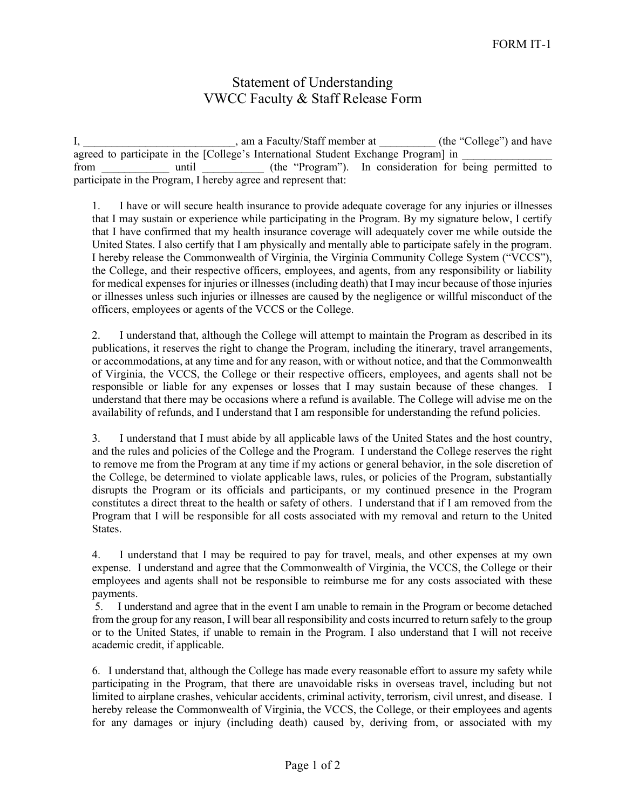## Statement of Understanding VWCC Faculty & Staff Release Form

I, the same state of the Staff member at the "College") and have stated as  $\mu$  (the "College") and have stated as  $\mu$ agreed to participate in the [College's International Student Exchange Program] in \_\_\_\_\_\_\_\_\_\_\_\_\_\_\_\_ from until the "Program"). In consideration for being permitted to participate in the Program, I hereby agree and represent that:

1. I have or will secure health insurance to provide adequate coverage for any injuries or illnesses that I may sustain or experience while participating in the Program. By my signature below, I certify that I have confirmed that my health insurance coverage will adequately cover me while outside the United States. I also certify that I am physically and mentally able to participate safely in the program. I hereby release the Commonwealth of Virginia, the Virginia Community College System ("VCCS"), the College, and their respective officers, employees, and agents, from any responsibility or liability for medical expenses for injuries or illnesses (including death) that I may incur because of those injuries or illnesses unless such injuries or illnesses are caused by the negligence or willful misconduct of the officers, employees or agents of the VCCS or the College.

2. I understand that, although the College will attempt to maintain the Program as described in its publications, it reserves the right to change the Program, including the itinerary, travel arrangements, or accommodations, at any time and for any reason, with or without notice, and that the Commonwealth of Virginia, the VCCS, the College or their respective officers, employees, and agents shall not be responsible or liable for any expenses or losses that I may sustain because of these changes. I understand that there may be occasions where a refund is available. The College will advise me on the availability of refunds, and I understand that I am responsible for understanding the refund policies.

3. I understand that I must abide by all applicable laws of the United States and the host country, and the rules and policies of the College and the Program. I understand the College reserves the right to remove me from the Program at any time if my actions or general behavior, in the sole discretion of the College, be determined to violate applicable laws, rules, or policies of the Program, substantially disrupts the Program or its officials and participants, or my continued presence in the Program constitutes a direct threat to the health or safety of others. I understand that if I am removed from the Program that I will be responsible for all costs associated with my removal and return to the United States.

4. I understand that I may be required to pay for travel, meals, and other expenses at my own expense. I understand and agree that the Commonwealth of Virginia, the VCCS, the College or their employees and agents shall not be responsible to reimburse me for any costs associated with these payments.

5. I understand and agree that in the event I am unable to remain in the Program or become detached from the group for any reason, I will bear all responsibility and costs incurred to return safely to the group or to the United States, if unable to remain in the Program. I also understand that I will not receive academic credit, if applicable.

6. I understand that, although the College has made every reasonable effort to assure my safety while participating in the Program, that there are unavoidable risks in overseas travel, including but not limited to airplane crashes, vehicular accidents, criminal activity, terrorism, civil unrest, and disease. I hereby release the Commonwealth of Virginia, the VCCS, the College, or their employees and agents for any damages or injury (including death) caused by, deriving from, or associated with my